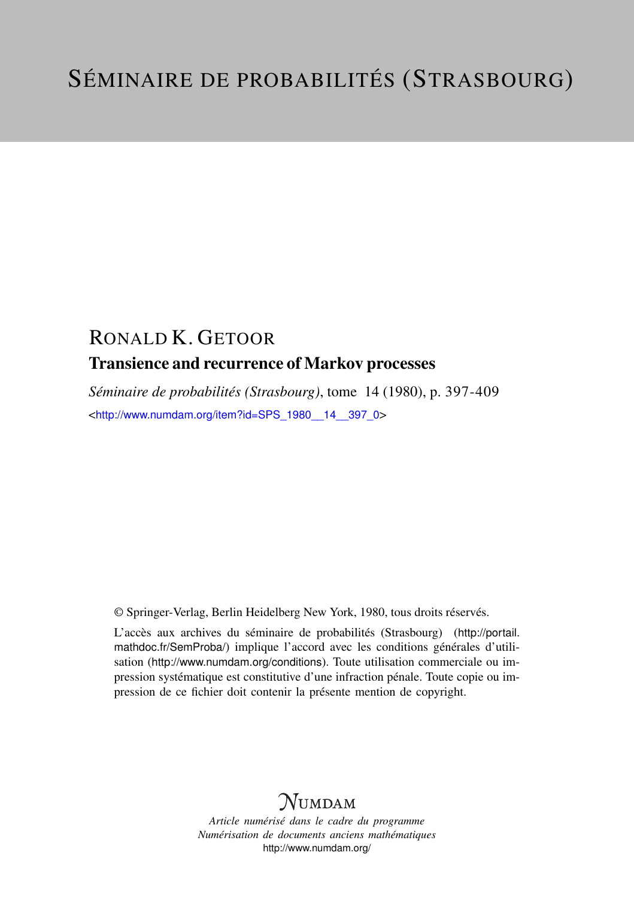## RONALD K. GETOOR Transience and recurrence of Markov processes

*Séminaire de probabilités (Strasbourg)*, tome 14 (1980), p. 397-409 <[http://www.numdam.org/item?id=SPS\\_1980\\_\\_14\\_\\_397\\_0](http://www.numdam.org/item?id=SPS_1980__14__397_0)>

© Springer-Verlag, Berlin Heidelberg New York, 1980, tous droits réservés.

L'accès aux archives du séminaire de probabilités (Strasbourg) ([http://portail.](http://portail.mathdoc.fr/SemProba/) [mathdoc.fr/SemProba/](http://portail.mathdoc.fr/SemProba/)) implique l'accord avec les conditions générales d'utilisation (<http://www.numdam.org/conditions>). Toute utilisation commerciale ou impression systématique est constitutive d'une infraction pénale. Toute copie ou impression de ce fichier doit contenir la présente mention de copyright.

# **NUMDAM**

*Article numérisé dans le cadre du programme Numérisation de documents anciens mathématiques* <http://www.numdam.org/>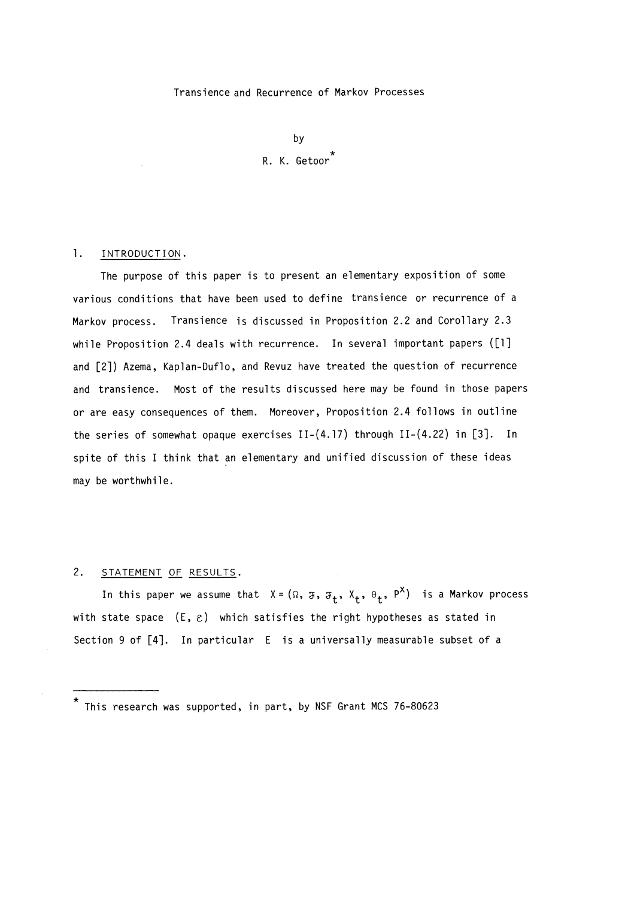#### Transience and Recurrence of Markov Processes

by R. K. Getoor<sup>\*</sup>

### 1. INTRODUCTION.

The purpose of this paper is to present an elementary exposition of some various conditions that have been used to define transience or recurrence of a Markov process. Transience is discussed in Proposition 2.2 and Corollary 2.3 while Proposition 2.4 deals with recurrence. In several important papers ([1] and [2]) Azema, Kaplan-Duflo, and Revuz have treated the question of recurrence and transience. Most of the results discussed here may be found in those papers or are easy consequences of them. Moreover, Proposition 2.4 follows in outline the series of somewhat opaque exercises II-(4.17) through II-(4.22) in [3]. In spite of this I think that an elementary and unified discussion of these ideas may be worthwhile.

### 2. STATEMENT OF RESULTS.

In this paper we assume that  $X = (\Omega, \mathcal{F}, \mathcal{F}_t, X_t, \Theta_t, P^X)$  is a Markov process with state space  $(E, \varepsilon)$  which satisfies the right hypotheses as stated in Section 9 of [4]. In particular E is a universally measurable subset of a

<sup>\*</sup> This research was supported, in part, by NSF Grant MCS 76-80623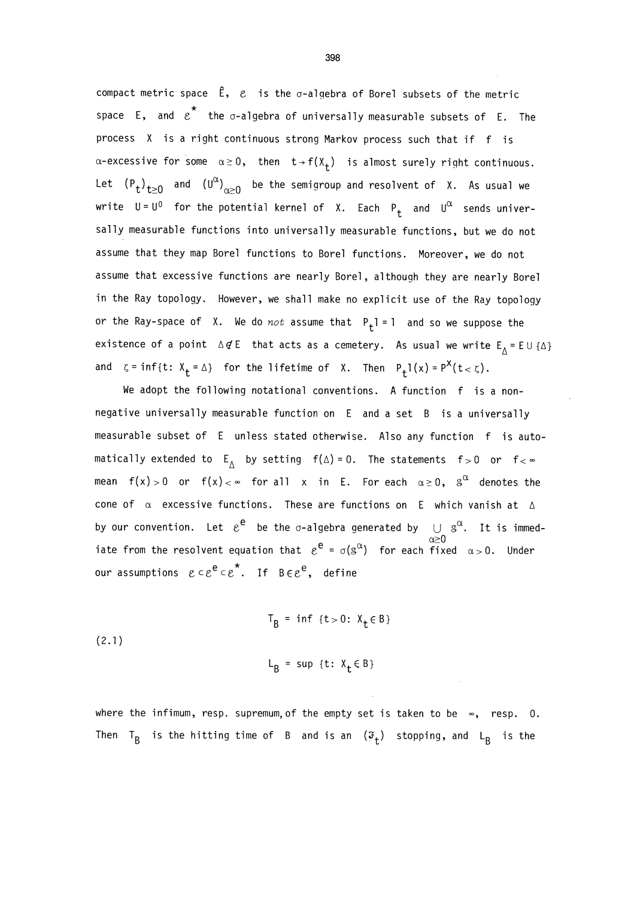compact metric space  $\hat{\epsilon}$ ,  $\varepsilon$  is the  $\sigma$ -algebra of Borel subsets of the metric space E, and  $\varepsilon^\star$  the  $\sigma$ -algebra of universally measurable subsets of E. The process X is a right continuous strong Markov process such that if f is  $\alpha$ -excessive for some  $\alpha \geq 0$ , then  $t \rightarrow f(X_t)$  is almost surely right continuous. Let  $(P_t)_{t\geq 0}$  and  $(U^{\alpha})_{\alpha\geq 0}$  be the semigroup and resolvent of X. As usual we write  $U = U^0$  for the potential kernel of X. Each  $P_t$  and  $U^{\alpha}$  sends universally measurable functions into universally measurable functions, but we do not assume that they map Borel functions to Borel functions. Moreover, we do not assume that excessive functions are nearly Borel, although they are nearly Borel in the Ray topology. However, we shall make no explicit use of the Ray topology or the Ray-space of X. We do not assume that  $P_t$ 1 = 1 and so we suppose the existence of a point  $\Delta \not\in E$  that acts as a cemetery. As usual we write  $E_A = E \cup \{\Delta\}$ and  $\zeta = \inf\{t: X_t = \Delta\}$  for the lifetime of X. Then  $P_t 1(x) = P^X(t < \zeta)$ .

We adopt the following notational conventions. A function f is a nonnegative universally measurable function on E and a set B is a universally measurable subset of E unless stated otherwise. Also any function f is automatically extended to  $E_A$  by setting  $f(\Delta) = 0$ . The statements  $f > 0$  or  $f < \infty$ mean f(x)>0 or f(x)<∞ for all x in E. For each  $\alpha \geq 0$ ,  $\mathbb{S}^\alpha$  denotes the cone of  $\alpha$  excessive functions. These are functions on E which vanish at  $\Delta$ by our convention. Let  $\varepsilon^+$  be the  $\sigma$ -algebra generated by  $\bigcup_{\alpha \geq 0} \mathbb{S}^{\alpha}$ . It is immediate from the resolvent equation that  $e^e = \sigma(s^{\alpha})$  for each fixed  $\alpha > 0$ . Under our assumptions  $c \in e^e \in e^*$ . If  $B \in e^e$ , define

(2.1)  

$$
T_B = inf \{t > 0: X_t \in B\}
$$

$$
L_B = sup \{t: X_t \in B\}
$$

where the infimum, resp. supremum, of the empty set is taken to be  $\infty$ , resp. 0. Then T<sub>B</sub> is the hitting time of B and is an  $(\mathfrak{F}_t)$  stopping, and L<sub>B</sub> is the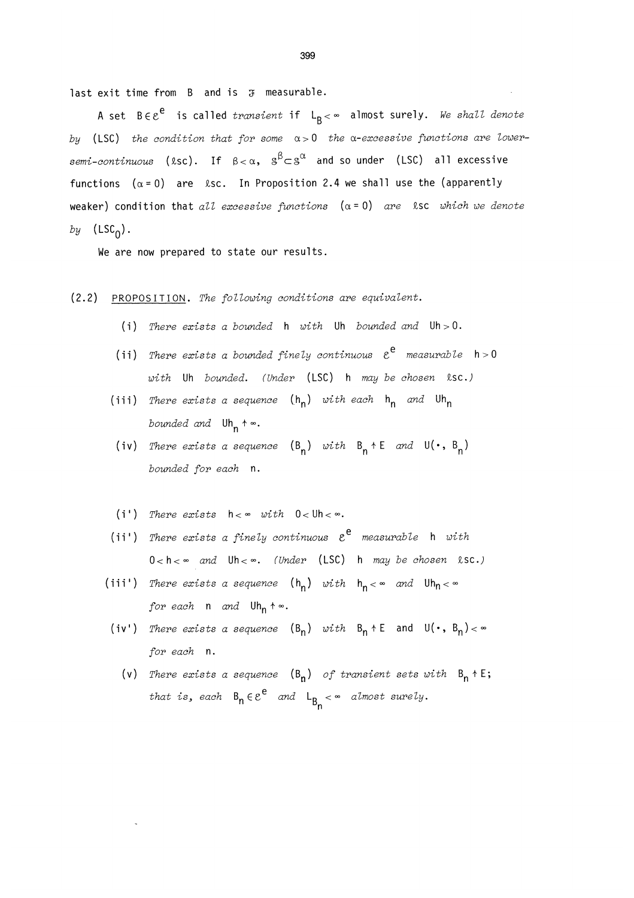last exit time from  $B$  and is  $\mathfrak F$  measurable.

A set  $B\in \mathcal{E}^e$  is called transient if  $L_R<\infty$  almost surely. We shall denote by (LSC) the condition that for some  $\alpha > 0$  the a-excessive functions are lowersemi-continuous (lsc). If  $\beta < \alpha$ ,  $\beta^{\beta} \subset \beta^{\alpha}$  and so under (LSC) all excessive functions  $(\alpha = 0)$  are  $\&sc.$  In Proposition 2.4 we shall use the (apparently weaker) condition that all excessive functions  $(\alpha = 0)$  are lsc which we denote by  $(LSC_0)$ .

We are now prepared to state our results.

- (2.2) PROPOSITION. The following conditions are equivalent.
	- (i) There exists a bounded  $h$  with Uh bounded and Uh > 0.
	- (ii) There exists a bounded finely continuous  $\varepsilon^e$  measurable  $h > 0$  $with$  Uh bounded. (Under (LSC) h may be chosen  $ksc.$ )
	- (iii) There exists a sequence  $(h_n)$  with each  $h_n$  and  $Uh_n$ bounded and  $Uh_n \rightarrow \infty$ .
	- (iv) There exists a sequence  $(B_n)$  with  $B_n + E$  and  $U(\cdot, B_n)$ bounded for each n.
	- (i') There exists  $h < \infty$  with  $0 < dh < \infty$ .
	- (ii') There exists a finely continuous  $\varepsilon^e$  measurable h with  $0 < h < \infty$  and  $Uh < \infty$ . (Under (LSC) h may be chosen  $\&sc.$ )
	- (iii') There exists a sequence  $(h_n)$  with  $h_n < \infty$  and  $Uh_n < \infty$ for each  $n$  and  $Uh_n$   $\uparrow \infty$ .
	- (iv') There exists a sequence  $(B_n)$  with  $B_n \uparrow E$  and  $U(\cdot, B_n) < \infty$ for each n.
		- (v) There exists a sequence  $(B_n)$  of transient sets with  $B_n \uparrow E$ ; that is, each  $B_n \in e^e$  and  $L_{B_n} < \infty$  almost surely.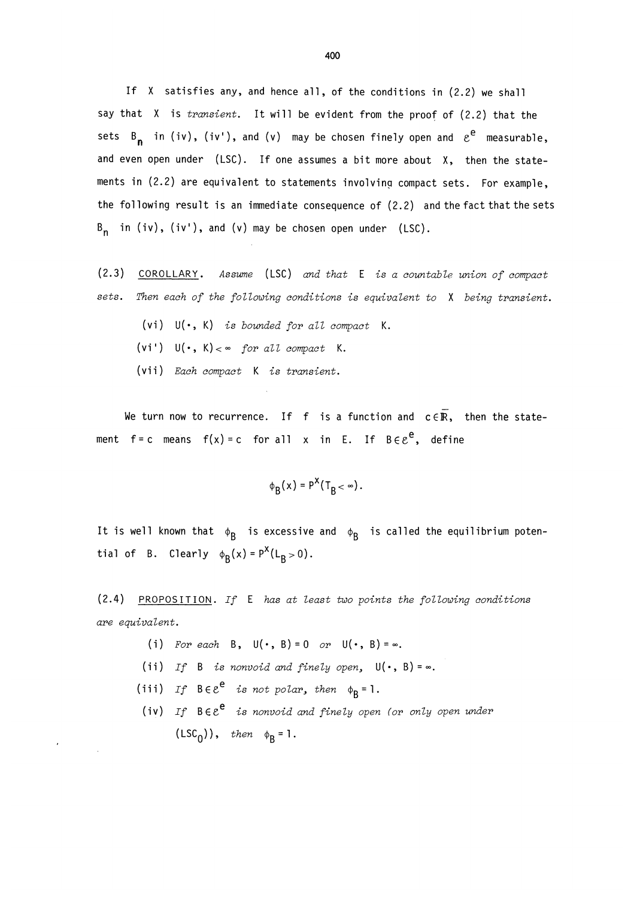If X satisfies any, and hence all, of the conditions in (2.2) we shall say that  $X$  is *transient*. It will be evident from the proof of  $(2.2)$  that the sets B<sub>n</sub> in (iv), (iv'), and (v) may be chosen finely open and  $\varepsilon^e$  measurable, and even open under (LSC). If one assumes a bit more about X, then the statements in (2.2) are equivalent to statements involving compact sets. For example, the following result is an immediate consequence of (2.2) and the fact that the sets  $B_n$  in (iv), (iv'), and (v) may be chosen open under (LSC).

- (2.3) COROLLARY. Assume (LSC) and that E is a countable union of compact sets. Then each of the following conditions is equivalent to X being transient.
	- (vi)  $U(\cdot, K)$  is bounded for all compact K.
	- (vi')  $U(\cdot, K) < \infty$  for all compact K.
	- (vii) Each compact K is transient.

We turn now to recurrence. If f is a function and  $c \in \overline{\mathbb{R}}$ , then the statement f=c means f(x)=c for all x in E. If  $B \in \mathcal{E}^e$ , define

$$
\phi_{\mathsf{R}}(x) = \mathsf{P}^{\mathsf{X}}(\mathsf{T}_{\mathsf{R}} < \infty).
$$

It is well known that  $\phi_B$  is excessive and  $\phi_B$  is called the equilibrium potential of B. Clearly  $\phi_R(x) = P^X(L_R > 0)$ .

(2.4) PROPOSITION. If E has at least two points the following conditions are equivalent.

- (i) For each B,  $U(\cdot, B) = 0$  or  $U(\cdot, B) = \infty$ .
- (ii) If B is nonvoid and finely open,  $U(\cdot, B) = \infty$ .
- (iii) If  $B \in \mathcal{E}^e$  is not polar, then  $\phi_R = 1$ .
- (iv) If  $B\in \mathcal{E}^e$  is nonvoid and finely open (or only open under  $(LSC<sub>0</sub>)$ , then  $\phi<sub>B</sub> = 1$ .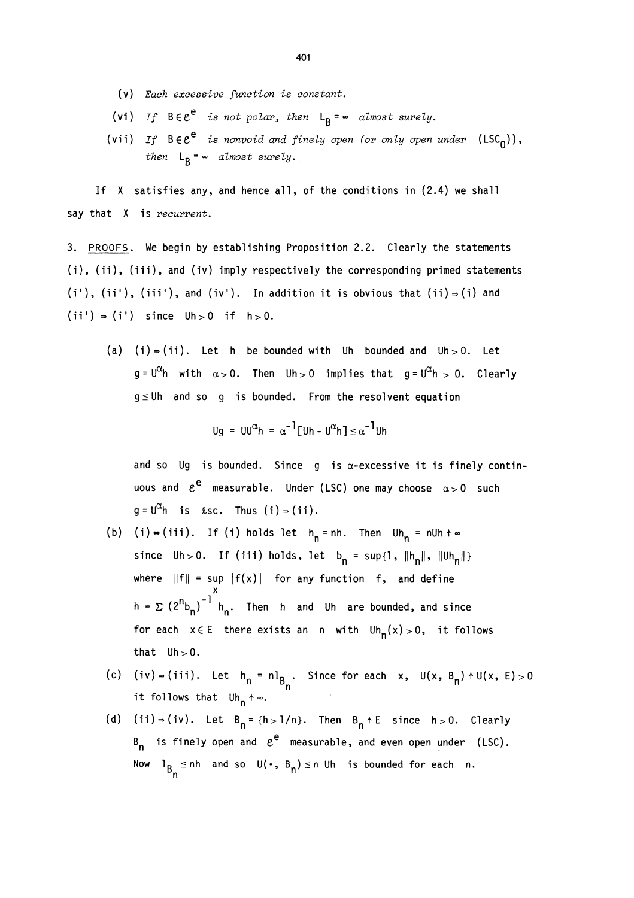- (v) Each excessive function is constant.
- (vi) If  $B \in \mathcal{E}^e$  is not polar, then  $L_B = \infty$  almost surely.
- (vii) If  $B \in \mathcal{E}^e$  is nonvoid and finely open (or only open under  $(LSC_0)$ ), then  $L_R = \infty$  almost surely.

If X satisfies any, and hence all, of the conditions in (2.4) we shall say that X is recurrent.

3. PROOFS. We begin by establishing Proposition 2.2. Clearly the statements  $(i)$ ,  $(ii)$ ,  $(iii)$ , and  $(iv)$  imply respectively the corresponding primed statements  $(i')$ ,  $(ii')$ ,  $(iii')$ , and  $(iv')$ . In addition it is obvious that  $(ii) = (i)$  and  $(ii') \Rightarrow (i')$  since  $Uh > 0$  if  $h > 0$ .

(a) (i)  $\Rightarrow$  (ii). Let h be bounded with Uh bounded and Uh > 0. Let  $g = U^{\alpha}$ h with  $\alpha > 0$ . Then Uh > 0 implies that  $g = U^{\alpha}$ h > 0. Clearly  $g \leq 0$ h and so g is bounded. From the resolvent equation

$$
\mathsf{Ug} = \mathsf{UU}^{\alpha} \mathsf{h} = \alpha^{-1} [\mathsf{Uh} - \mathsf{U}^{\alpha} \mathsf{h}] \leq \alpha^{-1} \mathsf{Uh}
$$

and so Ug is bounded. Since g is  $\alpha$ -excessive it is finely continuous and  $e^e$  measurable. Under (LSC) one may choose  $\alpha > 0$  such  $g = U^{\alpha} h$  is  $\ell$ sc. Thus  $(i) \Rightarrow (ii)$ .

- (b) (i)  $\Rightarrow$  (iii). If (i) holds let  $h_n = nh$ . Then  $Uh_n = null + \infty$ since  $Uh>0$ . If (iii) holds, let  $b_n = \sup\{1, ||h_n||, ||Uh_n||\}$ where  $\|f\|$  = sup  $\|f(x)\|$  for any function  $\,$  f, and define x h =  $\sum (2^{n}b_{n})^{-1}$  h<sub>n</sub>. Then h and Uh are bounded, and since for each  $x \in E$  there exists an n with  $Uh_n(x) > 0$ , it follows that  $Uh > 0$ .
- (c) (iv) = (iii). Let  $h_n = n l_{B_n}$ . Since for each x,  $U(x, B_n) + U(x, E) > 0$ it follows that  $Uh_n \rightarrow \infty$ .
- (d) (ii) = (iv). Let  $B_n = \{h > 1/n\}$ . Then  $B_n + E$  since  $h > 0$ . Clearly  $B_n$  is finely open and  $\varepsilon^e$  measurable, and even open under (LSC). Now l<sub>B s</sub> in and so  $U(\cdot, B_n) \le n$  Uh is bounded for each n.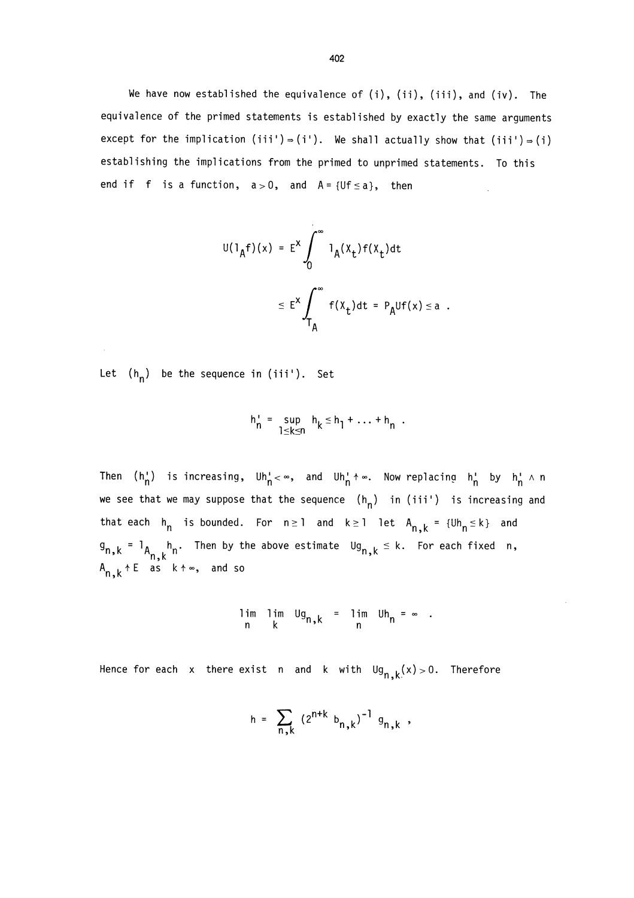We have now established the equivalence of (i), (ii), (iii), and (iv). The equivalence of the primed statements is established by exactly the same arguments except for the implication (iii')  $\Rightarrow$  (i'). We shall actually show that (iii')  $\Rightarrow$  (i) establishing the implications from the primed to unprimed statements. To this end if f is a function,  $a > 0$ , and  $A = \{Uf \le a\}$ , then

$$
U(1_Af)(x) = E^x \int_0^\infty 1_A(x_t)f(x_t)dt
$$
  

$$
\leq E^x \int_{T_A}^\infty f(x_t)dt = P_AUf(x) \leq a.
$$

Let  $(h_n)$  be the sequence in (iii'). Set

$$
h_n' = \sup_{1 \leq k \leq n} h_k \leq h_1 + \ldots + h_n.
$$

Then  $(h'_n)$  is increasing,  $Uh'_n < \infty$ , and  $Uh'_n < \infty$ . Now replacing  $h'_n$  by  $h'_n \wedge n$ we see that we may suppose that the sequence  $(h_n)$  in (iii') is increasing and that each  $h_n$  is bounded. For  $n \ge 1$  and  $k \ge 1$  let  $A_{n,k} = \{Uh_n \le k\}$  and  $I_{A_n,k}$  h, Then by the above estimate  $\mathsf{Ug}_{n,k} \leq k$ . For each fixed n,  $\mathsf{I}$  $A_{n,k}$  + E as  $k$  +  $\infty$ , and so

$$
\lim_{n} \lim_{k} \lim_{m} \lim_{n} \lim_{n} \lim_{n} \lim_{m} \lim_{n} \lim_{m} \frac{1}{m} = 0
$$

Hence for each x there exist n and k with  $\text{Ug}_{n,k}(x) > 0$ . Therefore

$$
h = \sum_{n,k} (2^{n+k} b_{n,k})^{-1} g_{n,k},
$$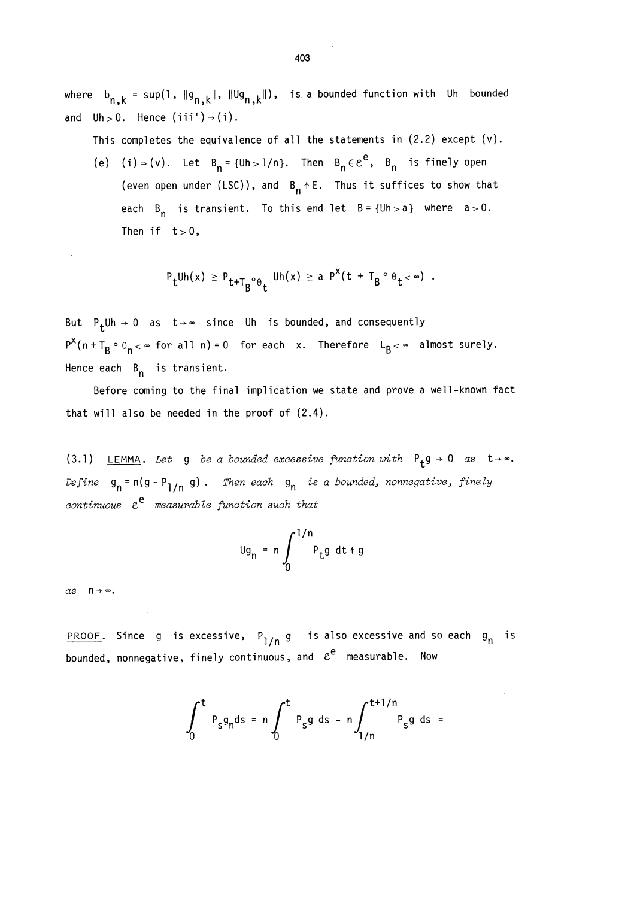where  $b_{n,k}$  = sup(1,  $||g_{n,k}||$ ,  $||Ug_{n,k}||$ ), is a bounded function with Uh bounded and  $Uh > 0$ . Hence  $(iii') = (i)$ .

This completes the equivalence of all the statements in (2.2) except (v).

(e) (i)  $\Rightarrow$  (v). Let B<sub>n</sub> = {Uh > 1/n}. Then B<sub>n</sub>  $\in$   $e^{e}$ , B<sub>n</sub> is finely open (even open under (LSC)), and  $B_n + E$ . Thus it suffices to show that each  $B_n$  is transient. To this end let  $B = {Uh > a}$  where  $a > 0$ . Then if  $t>0$ ,

$$
P_t^{Uh(x)} \ge P_{t+T_B^{\circ}\theta_t}^{Uh(x)} \ge a P^{X}(t+T_B^{\circ}\theta_t < \infty) .
$$

But  $P_t$ Uh  $\rightarrow$  0 as t  $\rightarrow \infty$  since Uh is bounded, and consequently  $P^X(n+T_B\circ \theta_n<\infty$  for all n) = 0 for each x. Therefore  $L_B<\infty$  almost surely. Hence each  $B_n$  is transient.

Before coming to the final implication we state and prove a well-known fact that will also be needed in the proof of (2.4).

(3.1) LEMMA. Let g be a bounded excessive function with  $P_t g \rightarrow 0$  as  $t \rightarrow \infty$ . Define  $g_n = n(g - P_{1/n} g)$ . Then each  $g_n$  is a bounded, nonnegative, finely continuous  $\varepsilon^e$  measurable function such that

$$
\log_n = n \int_0^{1/n} P_t g \ dt + g
$$

 $as \quad n \rightarrow \infty$ .

PROOF. Since g is excessive,  $P_{1/n}$  g is also excessive and so each g<sub>n</sub> is bounded, nonnegative, finely continuous, and  $e^e$  measurable. Now

$$
\int_0^t P_s g_n ds = n \int_0^t P_s g ds - n \int_{1/n}^{t+1/n} P_s g ds =
$$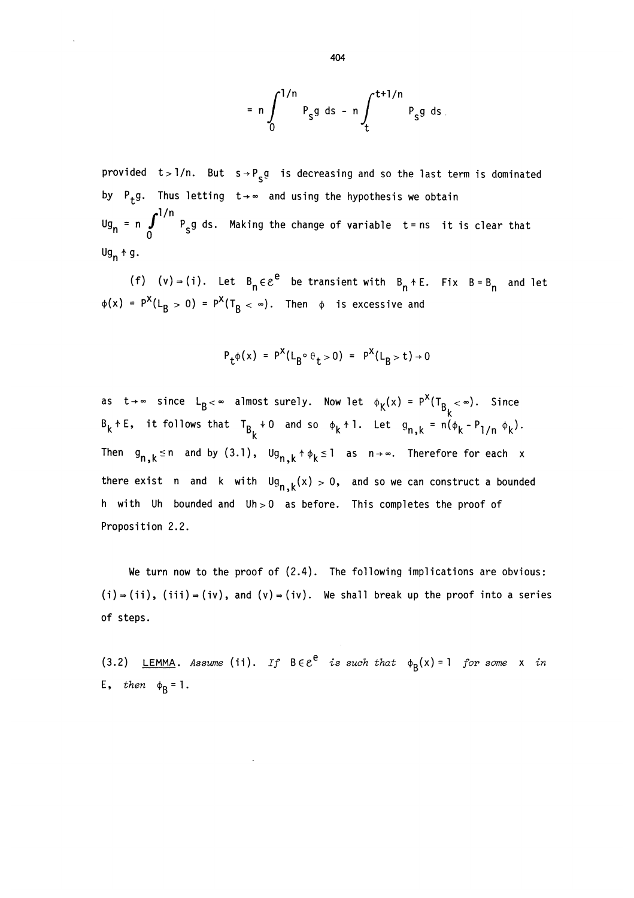$$
= n \int_0^{1/n} P_S g \, ds - n \int_t^{t+1/n} P_S g \, ds
$$

provided  $t > 1/n$ . But  $s \rightarrow P_g g$  is decreasing and so the last term is dominated by P<sub>+</sub>g. Thus letting  $t \rightarrow \infty$  and using the hypothesis we obtain Ug<sub>n</sub> = n  $\int_0^{1/n} P_{\rm s} g$  ds. Making the change of variable t=ns it is clear that  $Ug_n * g.$ 

(f) (v) = (i). Let  $B_n \in \mathcal{E}^e$  be transient with  $B_n + E$ . Fix  $B = B_n$  and let  $\phi(x) = P^X(L_B > 0) = P^X(T_B < \infty)$ . Then  $\phi$  is excessive and

$$
P_t \phi(x) = P^X(L_B \circ \theta_t > 0) = P^X(L_B > t) \to 0
$$

as  $t \rightarrow \infty$  since  $L_{B} < \infty$  almost surely. Now let  $\phi_{K}(x) = P^{X}(T_{B_{L}} < \infty)$ . Since  $B_k$  + E, it follows that  $T_{B_k}$  + 0 and so  $\phi_k$  + 1. Let  $g_{n,k} = n(\phi_k - P_{1/n} \phi_k)$ . Then  $g_{n,k} \le n$  and by (3.1),  $\log_{n,k} \uparrow \phi_k \le 1$  as  $n \to \infty$ . Therefore for each x there exist n and k with  $\log_{n,k}(x) > 0$ , and so we can construct a bounded h with Uh bounded and  $Uh > 0$  as before. This completes the proof of Proposition 2.2.

We turn now to the proof of (2.4). The following implications are obvious:  $(i) \Rightarrow (ii)$ ,  $(iii) \Rightarrow (iv)$ , and  $(v) \Rightarrow (iv)$ . We shall break up the proof into a series of steps.

(3.2) LEMMA. Assume (ii). If  $B \in \mathcal{E}^e$  is such that  $\phi_R(x)=1$  for some x in E, then  $\phi_R = 1$ .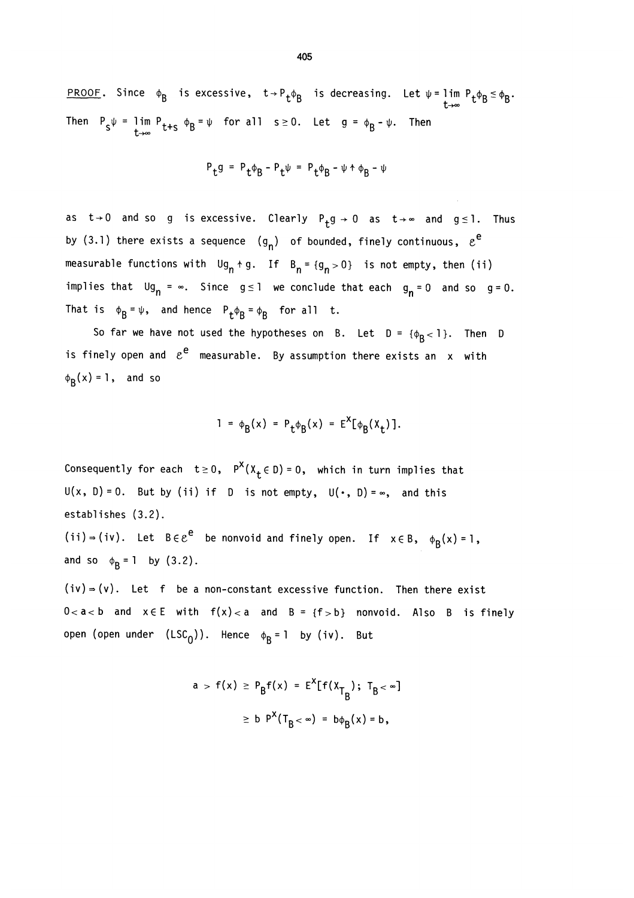PROOF. Since  $\phi_B$  is excessive,  $t \rightarrow P_t \phi_B$  is decreasing. Let  $\psi = \lim_{t \rightarrow \infty} P_t \phi_B \le \phi_B$ . Then  $P_S \psi = \lim_{t \to \infty} P_{t+s} \phi_B = \psi$  for all  $s \ge 0$ . Let  $g = \phi_B - \psi$ . Then

$$
\mathsf{P}_{\mathsf{t}} \mathsf{g} \ = \ \mathsf{P}_{\mathsf{t}} \varphi_{\mathsf{B}} \ - \ \mathsf{P}_{\mathsf{t}} \psi \ = \ \mathsf{P}_{\mathsf{t}} \varphi_{\mathsf{B}} \ - \ \psi \ \ast \ \varphi_{\mathsf{B}} \ - \ \psi
$$

as  $t\rightarrow 0$  and so g is excessive. Clearly  $P_+g\rightarrow 0$  as  $t\rightarrow \infty$  and  $g\le 1$ . Thus by (3.1) there exists a sequence  $(g_n)$  of bounded, finely continuous,  $\varepsilon^e$ measurable functions with  $\mathsf{U}g_n + g$ . If  $\mathsf{B}_n = \{g_n > 0\}$  is not empty, then (ii) implies that  $Ug_n = \infty$ . Since  $g \le 1$  we conclude that each  $g_n = 0$  and so  $g = 0$ . That is  $\phi_B = \psi$ , and hence  $P_t \phi_B = \phi_B$  for all t.

So far we have not used the hypotheses on B. Let  $D = { \phi_R < 1 }$ . Then D is finely open and  $e^e$  measurable. By assumption there exists an  $x$  with  $\phi_{\mathbf{R}}(x) = 1$ , and so

$$
1 = \phi_B(x) = P_t \phi_B(x) = E^X[\phi_B(x_t)].
$$

Consequently for each  $t \ge 0$ ,  $P^X(X_t \in D) = 0$ , which in turn implies that  $U(x, D) = 0$ . But by (ii) if D is not empty,  $U(\cdot, D) = \infty$ , and this establishes (3.2).

(ii)  $\Rightarrow$  (iv). Let  $B \in \mathcal{E}^e$  be nonvoid and finely open. If  $x \in B$ ,  $\phi_B(x) = 1$ , and so  $\phi_R = 1$  by (3.2).

 $(iv)$  =  $(v)$ . Let f be a non-constant excessive function. Then there exist  $0 < a < b$  and  $x \in E$  with  $f(x) < a$  and  $B = \{f > b\}$  nonvoid. Also B is finely open (open under  $(LSC_0)$ ). Hence  $\phi_B = 1$  by (iv). But

$$
a > f(x) \ge P_B f(x) = E^{X}[f(x_{T_B}); T_B < \infty]
$$
  

$$
\ge b P^{X}(T_B < \infty) = b\phi_B(x) = b,
$$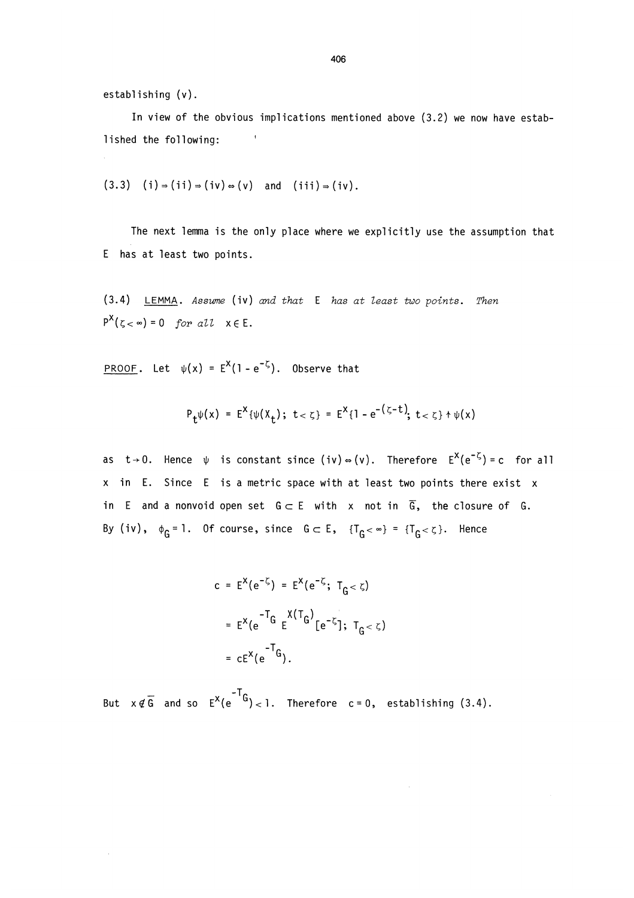establishing (v).

In view of the obvious implications mentioned above (3.2) we now have established the following: '

$$
(3.3) (i) \Rightarrow (ii) \Rightarrow (iv) \Rightarrow (v) \text{ and } (iii) \Rightarrow (iv).
$$

The next lemma is the only place where we explicitly use the assumption that E has at least two points.

 $(3.4)$  LEMMA. Assume (iv) and that E has at least two points. Then  $P^X(z \sim) = 0$  for all  $x \in E$ .

PROOF. Let  $\psi(x) = E^{X}(1 - e^{-\zeta})$ . Observe that

$$
P_t \psi(x) = E^X \{ \psi(X_t) \; ; \; t < \zeta \} = E^X \{ 1 - e^{-(\zeta - t)} \; ; \; t < \zeta \} + \psi(x)
$$

as  $t\rightarrow 0$ . Hence  $\psi$  is constant since (iv)  $\Rightarrow$  (v). Therefore  $E^{X}(e^{-\zeta}) = c$  for all x in E. Since E is a metric space with at least two points there exist x in E and a nonvoid open set  $G \subset E$  with x not in  $\overline{G}$ , the closure of G. By (iv),  $\phi_G = 1$ . Of course, since  $G \subset E$ ,  $\{T_G < \infty\} = \{T_G < \zeta\}$ . Hence

$$
c = E^{X}(e^{-\zeta}) = E^{X}(e^{-\zeta}; T_{G < \zeta})
$$
  
=  $E^{X}(e^{-T_{G}} E^{X(T_{G})}[e^{-\zeta}]; T_{G < \zeta})$   
=  $cE^{X}(e^{-T_{G}}).$ 

But  $x \notin \overline{G}$  and so  $E^X(e^{-T}G) < 1$ . Therefore  $c = 0$ , establishing (3.4).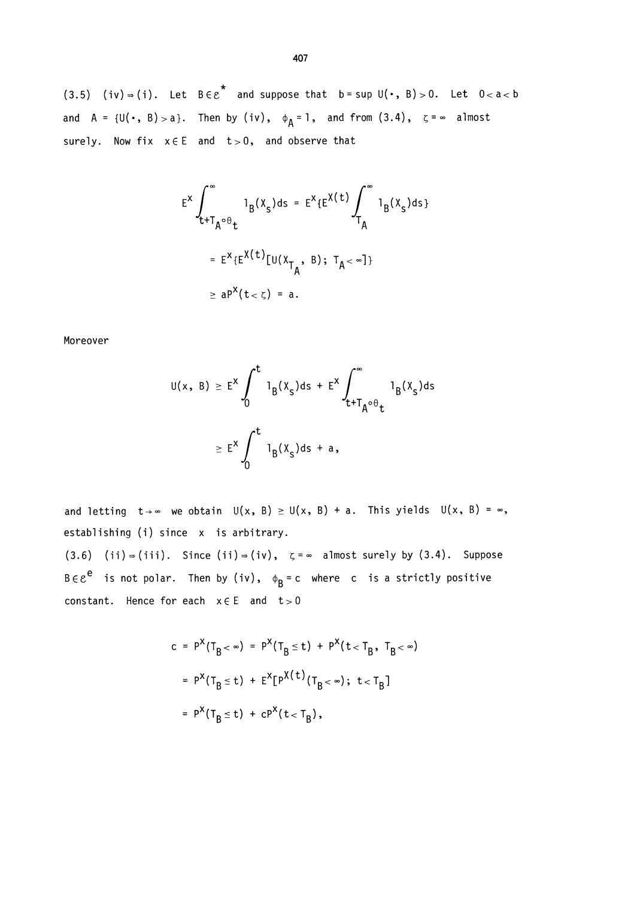(3.5) (iv)  $\Rightarrow$  (i). Let BE $\varepsilon^*$  and suppose that b = sup U( $\cdot$ , B) > 0. Let 0< a < b and  $A = \{U(\cdot, B) > a\}$ . Then by (iv),  $\phi_A = 1$ , and from (3.4),  $\zeta = \infty$  almost surely. Now fix  $x \in E$  and  $t > 0$ , and observe that

$$
E^{X} \int_{t+T_A \circ \theta_t}^{\infty} 1_B(X_s) ds = E^{X} \{E^{X}(t) \int_{T_A}^{\infty} 1_B(X_s) ds\}
$$

$$
= E^{X} \{E^{X}(t) [U(X_{T_A}, B); T_A < \infty] \}
$$

$$
\geq a P^{X}(t < \zeta) = a.
$$

Moreover

$$
U(x, B) \ge E^{x} \int_{0}^{t} 1_{B}(x_{s})ds + E^{x} \int_{t+T_{A}^{\circ}\theta_{t}}^{\infty} 1_{B}(x_{s})ds
$$

$$
\ge E^{x} \int_{0}^{t} 1_{B}(x_{s})ds + a,
$$

and letting  $t\rightarrow\infty$  we obtain  $U(x, B) \ge U(x, B) + a$ . This yields  $U(x, B) = \infty$ , establishing (i) since x is arbitrary.

 $(3.6)$  (ii)  $\Rightarrow$  (iii). Since (ii)  $\Rightarrow$  (iv),  $\zeta = \infty$  almost surely by (3.4). Suppose  $B \in \mathcal{E}^e$  is not polar. Then by (iv),  $\phi_B = c$  where c is a strictly positive constant. Hence for each  $x \in E$  and  $t > 0$ 

$$
c = P^{X}(T_{B} < \infty) = P^{X}(T_{B} \le t) + P^{X}(t < T_{B}, T_{B} < \infty)
$$
  
=  $P^{X}(T_{B} \le t) + E^{X}[P^{X}(t)(T_{B} < \infty); t < T_{B}]$   
=  $P^{X}(T_{B} \le t) + cP^{X}(t < T_{B}),$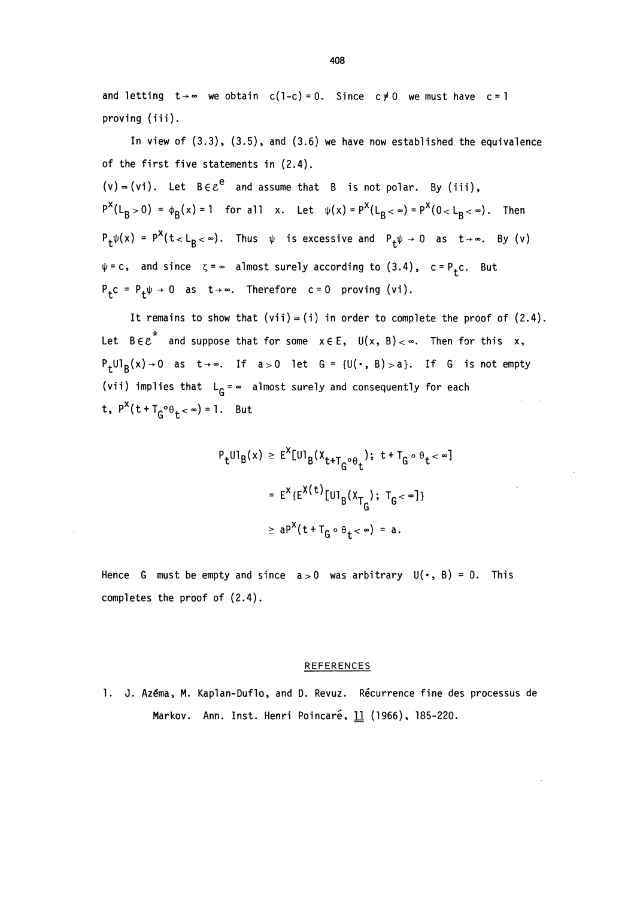and letting  $t \rightarrow \infty$  we obtain c(1-c) = 0. Since c  $\neq$  0 we must have c = 1 proving (iii).

In view of (3.3), (3.5), and (3.6) we have now established the equivalence of the first five statements in (2.4).

(v) = (vi). Let 
$$
B \in \mathcal{E}^e
$$
 and assume that B is not polar. By (iii),  
\n $P^X(L_B > 0) = \phi_B(x) = 1$  for all x. Let  $\psi(x) = P^X(L_B < \infty) = P^X(0 < L_B < \infty)$ . Then  
\n $P_t \psi(x) = P^X(t < L_B < \infty)$ . Thus  $\psi$  is excessive and  $P_t \psi \to 0$  as  $t \to \infty$ . By (v)  
\n $\psi = c$ , and since  $\zeta = \infty$  almost surely according to (3.4),  $c = P_t c$ . But  
\n $P_t c = P_t \psi \to 0$  as  $t \to \infty$ . Therefore  $c = 0$  proving (vi).

It remains to show that  $(vii) = (i)$  in order to complete the proof of  $(2.4)$ . Let  $B \in e^*$  and suppose that for some  $x \in E$ ,  $U(x, B) < \infty$ . Then for this x,  $P_t U I_B(x) \rightarrow 0$  as  $t \rightarrow \infty$ . If  $a > 0$  let  $G = {U(\cdot, B) > a}$ . If G is not empty (vii) implies that  $L_G = \infty$  almost surely and consequently for each t,  $P^X(t + T_G^o \theta_t < \infty) = 1$ . But ..

$$
P_{t}U1_{B}(x) \geq E^{X}[U1_{B}(X_{t+T_{G}^{\circ}\theta_{t}}); t+T_{G^{\circ}\theta_{t}} < \infty]
$$
  

$$
= E^{X} \{E^{X(t)}[U1_{B}(X_{T_{G}}); T_{G} < \infty]\}
$$
  

$$
\geq aP^{X}(t+T_{G^{\circ}\theta_{t}} < \infty) = a.
$$

Hence G must be empty and since  $a > 0$  was arbitrary  $U(\cdot, B) = 0$ . This completes the proof of (2.4).

#### REFERENCES

1. J. Azéma, M. Kaplan-Duflo, and D. Revuz. Récurrence fine des processus de Markov. Ann. Inst. Henri Poincaré, 11 (1966), 185-220.